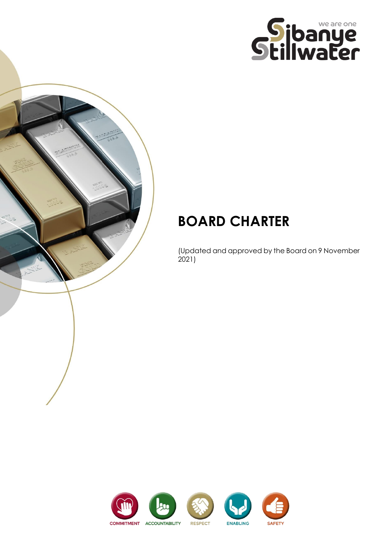



# **BOARD CHARTER**

(Updated and approved by the Board on 9 November 2021)

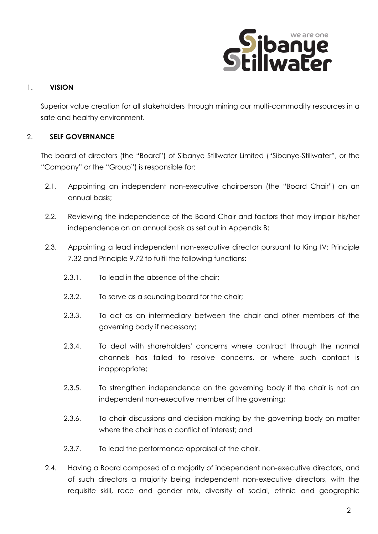

## 1. **VISION**

Superior value creation for all stakeholders through mining our multi-commodity resources in a safe and healthy environment.

## 2. **SELF GOVERNANCE**

The board of directors (the "Board") of Sibanye Stillwater Limited ("Sibanye-Stillwater", or the "Company" or the "Group") is responsible for:

- 2.1. Appointing an independent non-executive chairperson (the "Board Chair") on an annual basis;
- 2.2. Reviewing the independence of the Board Chair and factors that may impair his/her independence on an annual basis as set out in Appendix B;
- 2.3. Appointing a lead independent non-executive director pursuant to King IV: Principle 7.32 and Principle 9.72 to fulfil the following functions:
	- 2.3.1. To lead in the absence of the chair;
	- 2.3.2. To serve as a sounding board for the chair;
	- 2.3.3. To act as an intermediary between the chair and other members of the governing body if necessary;
	- 2.3.4. To deal with shareholders' concerns where contract through the normal channels has failed to resolve concerns, or where such contact is inappropriate;
	- 2.3.5. To strengthen independence on the governing body if the chair is not an independent non-executive member of the governing;
	- 2.3.6. To chair discussions and decision-making by the governing body on matter where the chair has a conflict of interest; and
	- 2.3.7. To lead the performance appraisal of the chair.
- 2.4. Having a Board composed of a majority of independent non-executive directors, and of such directors a majority being independent non-executive directors, with the requisite skill, race and gender mix, diversity of social, ethnic and geographic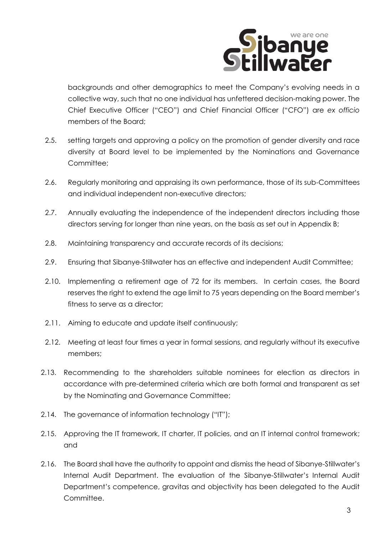

backgrounds and other demographics to meet the Company's evolving needs in a collective way, such that no one individual has unfettered decision-making power. The Chief Executive Officer ("CEO") and Chief Financial Officer ("CFO") are *ex officio* members of the Board;

- 2.5. setting targets and approving a policy on the promotion of gender diversity and race diversity at Board level to be implemented by the Nominations and Governance Committee;
- 2.6. Regularly monitoring and appraising its own performance, those of its sub-Committees and individual independent non-executive directors;
- 2.7. Annually evaluating the independence of the independent directors including those directors serving for longer than nine years, on the basis as set out in Appendix B;
- 2.8. Maintaining transparency and accurate records of its decisions;
- 2.9. Ensuring that Sibanye-Stillwater has an effective and independent Audit Committee;
- 2.10. Implementing a retirement age of 72 for its members. In certain cases, the Board reserves the right to extend the age limit to 75 years depending on the Board member's fitness to serve as a director;
- 2.11. Aiming to educate and update itself continuously;
- 2.12. Meeting at least four times a year in formal sessions, and regularly without its executive members;
- 2.13. Recommending to the shareholders suitable nominees for election as directors in accordance with pre-determined criteria which are both formal and transparent as set by the Nominating and Governance Committee;
- 2.14. The governance of information technology ("IT");
- 2.15. Approving the IT framework, IT charter, IT policies, and an IT internal control framework; and
- 2.16. The Board shall have the authority to appoint and dismiss the head of Sibanye-Stillwater's Internal Audit Department. The evaluation of the Sibanye-Stillwater's Internal Audit Department's competence, gravitas and objectivity has been delegated to the Audit Committee.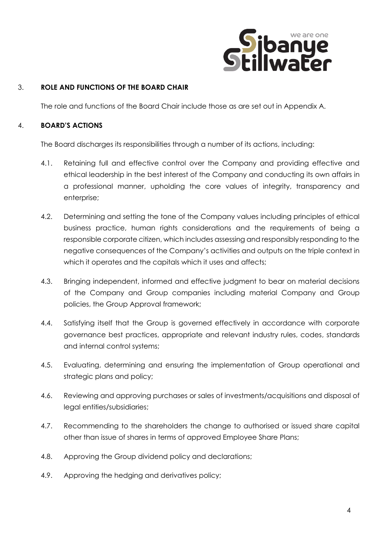

## 3. **ROLE AND FUNCTIONS OF THE BOARD CHAIR**

The role and functions of the Board Chair include those as are set out in Appendix A.

#### 4. **BOARD'S ACTIONS**

The Board discharges its responsibilities through a number of its actions, including:

- 4.1. Retaining full and effective control over the Company and providing effective and ethical leadership in the best interest of the Company and conducting its own affairs in a professional manner, upholding the core values of integrity, transparency and enterprise;
- 4.2. Determining and setting the tone of the Company values including principles of ethical business practice, human rights considerations and the requirements of being a responsible corporate citizen, which includes assessing and responsibly responding to the negative consequences of the Company's activities and outputs on the triple context in which it operates and the capitals which it uses and affects;
- 4.3. Bringing independent, informed and effective judgment to bear on material decisions of the Company and Group companies including material Company and Group policies, the Group Approval framework;
- 4.4. Satisfying itself that the Group is governed effectively in accordance with corporate governance best practices, appropriate and relevant industry rules, codes, standards and internal control systems;
- 4.5. Evaluating, determining and ensuring the implementation of Group operational and strategic plans and policy;
- 4.6. Reviewing and approving purchases or sales of investments/acquisitions and disposal of legal entities/subsidiaries;
- 4.7. Recommending to the shareholders the change to authorised or issued share capital other than issue of shares in terms of approved Employee Share Plans;
- 4.8. Approving the Group dividend policy and declarations;
- 4.9. Approving the hedging and derivatives policy;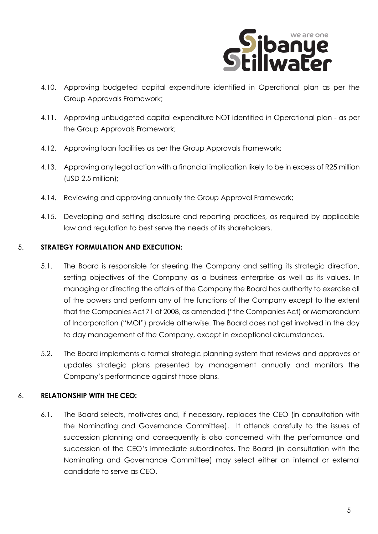

- 4.10. Approving budgeted capital expenditure identified in Operational plan as per the Group Approvals Framework;
- 4.11. Approving unbudgeted capital expenditure NOT identified in Operational plan as per the Group Approvals Framework;
- 4.12. Approving loan facilities as per the Group Approvals Framework;
- 4.13. Approving any legal action with a financial implication likely to be in excess of R25 million (USD 2.5 million);
- 4.14. Reviewing and approving annually the Group Approval Framework;
- 4.15. Developing and setting disclosure and reporting practices, as required by applicable law and regulation to best serve the needs of its shareholders.

#### 5. **STRATEGY FORMULATION AND EXECUTION:**

- 5.1. The Board is responsible for steering the Company and setting its strategic direction, setting objectives of the Company as a business enterprise as well as its values. In managing or directing the affairs of the Company the Board has authority to exercise all of the powers and perform any of the functions of the Company except to the extent that the Companies Act 71 of 2008, as amended ("the Companies Act) or Memorandum of Incorporation ("MOI") provide otherwise. The Board does not get involved in the day to day management of the Company, except in exceptional circumstances.
- 5.2. The Board implements a formal strategic planning system that reviews and approves or updates strategic plans presented by management annually and monitors the Company's performance against those plans.

# 6. **RELATIONSHIP WITH THE CEO:**

6.1. The Board selects, motivates and, if necessary, replaces the CEO (in consultation with the Nominating and Governance Committee). It attends carefully to the issues of succession planning and consequently is also concerned with the performance and succession of the CEO's immediate subordinates. The Board (in consultation with the Nominating and Governance Committee) may select either an internal or external candidate to serve as CEO.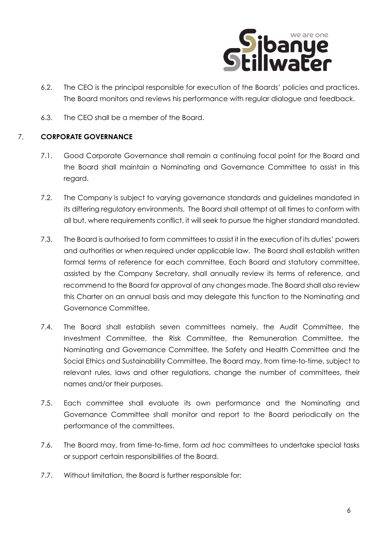

- 6.2. The CEO is the principal responsible for execution of the Boards' policies and practices. The Board monitors and reviews his performance with regular dialogue and feedback.
- 6.3. The CEO shall be a member of the Board.

## 7. **CORPORATE GOVERNANCE**

- 7.1. Good Corporate Governance shall remain a continuing focal point for the Board and the Board shall maintain a Nominating and Governance Committee to assist in this regard.
- 7.2. The Company is subject to varying governance standards and guidelines mandated in its differing regulatory environments. The Board shall attempt at all times to conform with all but, where requirements conflict, it will seek to pursue the higher standard mandated.
- 7.3. The Board is authorised to form committees to assist it in the execution of its duties' powers and authorities or when required under applicable law. The Board shall establish written formal terms of reference for each committee. Each Board and statutory committee, assisted by the Company Secretary, shall annually review its terms of reference, and recommend to the Board for approval of any changes made. The Board shall also review this Charter on an annual basis and may delegate this function to the Nominating and Governance Committee.
- 7.4. The Board shall establish seven committees namely, the Audit Committee, the Investment Committee, the Risk Committee, the Remuneration Committee, the Nominating and Governance Committee, the Safety and Health Committee and the Social Ethics and Sustainability Committee. The Board may, from time-to-time, subject to relevant rules, laws and other regulations, change the number of committees, their names and/or their purposes.
- 7.5. Each committee shall evaluate its own performance and the Nominating and Governance Committee shall monitor and report to the Board periodically on the performance of the committees.
- 7.6. The Board may, from time-to-time, form *ad hoc* committees to undertake special tasks or support certain responsibilities of the Board.
- 7.7. Without limitation, the Board is further responsible for: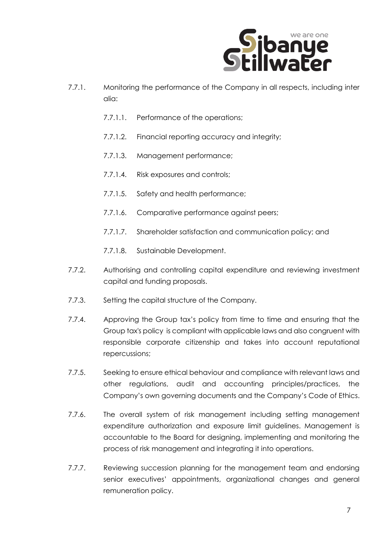

- 7.7.1. Monitoring the performance of the Company in all respects, including inter alia:
	- 7.7.1.1. Performance of the operations;
	- 7.7.1.2. Financial reporting accuracy and integrity;
	- 7.7.1.3. Management performance;
	- 7.7.1.4. Risk exposures and controls;
	- 7.7.1.5. Safety and health performance;
	- 7.7.1.6. Comparative performance against peers;
	- 7.7.1.7. Shareholder satisfaction and communication policy; and
	- 7.7.1.8. Sustainable Development.
- 7.7.2. Authorising and controlling capital expenditure and reviewing investment capital and funding proposals.
- 7.7.3. Setting the capital structure of the Company.
- 7.7.4. Approving the Group tax's policy from time to time and ensuring that the Group tax's policy is compliant with applicable laws and also congruent with responsible corporate citizenship and takes into account reputational repercussions;
- 7.7.5. Seeking to ensure ethical behaviour and compliance with relevant laws and other regulations, audit and accounting principles/practices, the Company's own governing documents and the Company's Code of Ethics.
- 7.7.6. The overall system of risk management including setting management expenditure authorization and exposure limit guidelines. Management is accountable to the Board for designing, implementing and monitoring the process of risk management and integrating it into operations.
- 7.7.7. Reviewing succession planning for the management team and endorsing senior executives' appointments, organizational changes and general remuneration policy.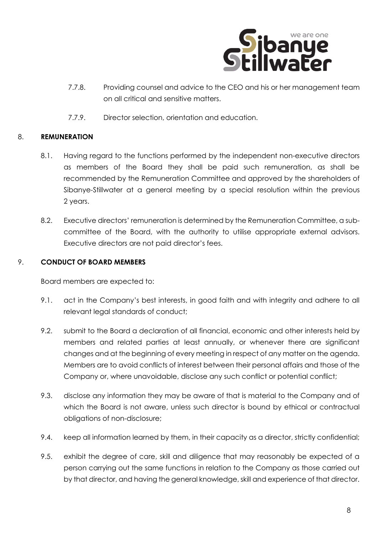

- 7.7.8. Providing counsel and advice to the CEO and his or her management team on all critical and sensitive matters.
- 7.7.9. Director selection, orientation and education.

## 8. **REMUNERATION**

- 8.1. Having regard to the functions performed by the independent non-executive directors as members of the Board they shall be paid such remuneration, as shall be recommended by the Remuneration Committee and approved by the shareholders of Sibanye-Stillwater at a general meeting by a special resolution within the previous 2 years.
- 8.2. Executive directors' remuneration is determined by the Remuneration Committee, a subcommittee of the Board, with the authority to utilise appropriate external advisors. Executive directors are not paid director's fees.

#### 9. **CONDUCT OF BOARD MEMBERS**

Board members are expected to:

- 9.1. act in the Company's best interests, in good faith and with integrity and adhere to all relevant legal standards of conduct;
- 9.2. submit to the Board a declaration of all financial, economic and other interests held by members and related parties at least annually, or whenever there are significant changes and at the beginning of every meeting in respect of any matter on the agenda. Members are to avoid conflicts of interest between their personal affairs and those of the Company or, where unavoidable, disclose any such conflict or potential conflict;
- 9.3. disclose any information they may be aware of that is material to the Company and of which the Board is not aware, unless such director is bound by ethical or contractual obligations of non-disclosure;
- 9.4. keep all information learned by them, in their capacity as a director, strictly confidential;
- 9.5. exhibit the degree of care, skill and diligence that may reasonably be expected of a person carrying out the same functions in relation to the Company as those carried out by that director, and having the general knowledge, skill and experience of that director.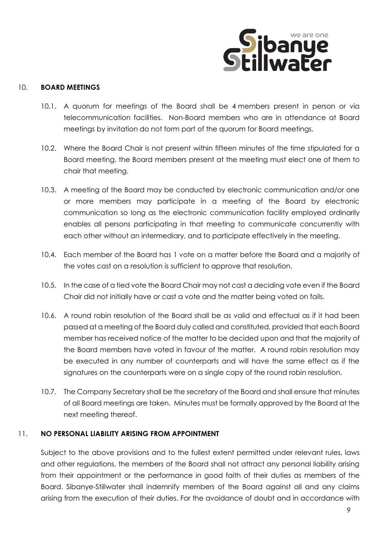

#### 10. **BOARD MEETINGS**

- 10.1. A quorum for meetings of the Board shall be 4 members present in person or via telecommunication facilities. Non-Board members who are in attendance at Board meetings by invitation do not form part of the quorum for Board meetings.
- 10.2. Where the Board Chair is not present within fifteen minutes of the time stipulated for a Board meeting, the Board members present at the meeting must elect one of them to chair that meeting.
- 10.3. A meeting of the Board may be conducted by electronic communication and/or one or more members may participate in a meeting of the Board by electronic communication so long as the electronic communication facility employed ordinarily enables all persons participating in that meeting to communicate concurrently with each other without an intermediary, and to participate effectively in the meeting.
- 10.4. Each member of the Board has 1 vote on a matter before the Board and a majority of the votes cast on a resolution is sufficient to approve that resolution.
- 10.5. In the case of a tied vote the Board Chair may not cast a deciding vote even if the Board Chair did not initially have or cast a vote and the matter being voted on fails.
- 10.6. A round robin resolution of the Board shall be as valid and effectual as if it had been passed at a meeting of the Board duly called and constituted, provided that each Board member has received notice of the matter to be decided upon and that the majority of the Board members have voted in favour of the matter. A round robin resolution may be executed in any number of counterparts and will have the same effect as if the signatures on the counterparts were on a single copy of the round robin resolution.
- 10.7. The Company Secretary shall be the secretary of the Board and shall ensure that minutes of all Board meetings are taken. Minutes must be formally approved by the Board at the next meeting thereof.

#### 11. **NO PERSONAL LIABILITY ARISING FROM APPOINTMENT**

Subject to the above provisions and to the fullest extent permitted under relevant rules, laws and other regulations, the members of the Board shall not attract any personal liability arising from their appointment or the performance in good faith of their duties as members of the Board. Sibanye-Stillwater shall indemnify members of the Board against all and any claims arising from the execution of their duties. For the avoidance of doubt and in accordance with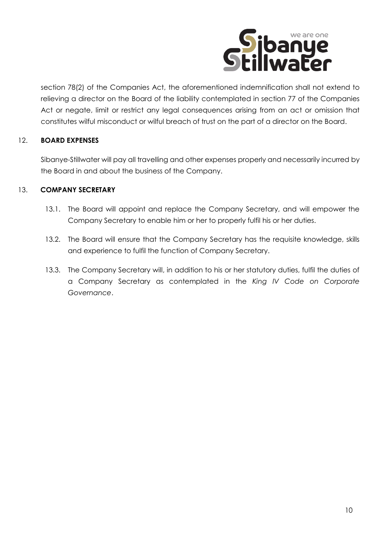

section 78(2) of the Companies Act, the aforementioned indemnification shall not extend to relieving a director on the Board of the liability contemplated in section 77 of the Companies Act or negate, limit or restrict any legal consequences arising from an act or omission that constitutes wilful misconduct or wilful breach of trust on the part of a director on the Board.

# 12. **BOARD EXPENSES**

Sibanye-Stillwater will pay all travelling and other expenses properly and necessarily incurred by the Board in and about the business of the Company.

## 13. **COMPANY SECRETARY**

- 13.1. The Board will appoint and replace the Company Secretary, and will empower the Company Secretary to enable him or her to properly fulfil his or her duties.
- 13.2. The Board will ensure that the Company Secretary has the requisite knowledge, skills and experience to fulfil the function of Company Secretary.
- 13.3. The Company Secretary will, in addition to his or her statutory duties, fulfil the duties of a Company Secretary as contemplated in the *King IV Code on Corporate Governance*.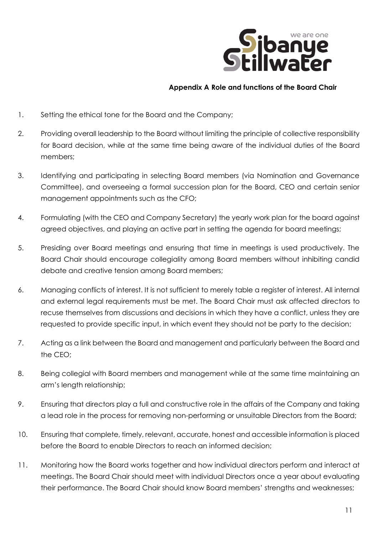

## **Appendix A Role and functions of the Board Chair**

- 1. Setting the ethical tone for the Board and the Company;
- 2. Providing overall leadership to the Board without limiting the principle of collective responsibility for Board decision, while at the same time being aware of the individual duties of the Board members;
- 3. Identifying and participating in selecting Board members (via Nomination and Governance Committee), and overseeing a formal succession plan for the Board, CEO and certain senior management appointments such as the CFO;
- 4. Formulating (with the CEO and Company Secretary) the yearly work plan for the board against agreed objectives, and playing an active part in setting the agenda for board meetings;
- 5. Presiding over Board meetings and ensuring that time in meetings is used productively. The Board Chair should encourage collegiality among Board members without inhibiting candid debate and creative tension among Board members;
- 6. Managing conflicts of interest. It is not sufficient to merely table a register of interest. All internal and external legal requirements must be met. The Board Chair must ask affected directors to recuse themselves from discussions and decisions in which they have a conflict, unless they are requested to provide specific input, in which event they should not be party to the decision;
- 7. Acting as a link between the Board and management and particularly between the Board and the CEO;
- 8. Being collegial with Board members and management while at the same time maintaining an arm's length relationship;
- 9. Ensuring that directors play a full and constructive role in the affairs of the Company and taking a lead role in the process for removing non-performing or unsuitable Directors from the Board;
- 10. Ensuring that complete, timely, relevant, accurate, honest and accessible information is placed before the Board to enable Directors to reach an informed decision;
- 11. Monitoring how the Board works together and how individual directors perform and interact at meetings. The Board Chair should meet with individual Directors once a year about evaluating their performance. The Board Chair should know Board members' strengths and weaknesses;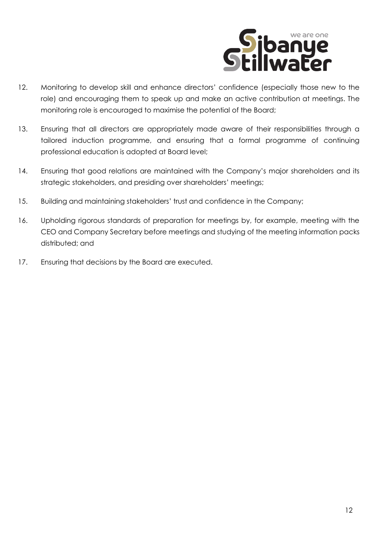

- 12. Monitoring to develop skill and enhance directors' confidence (especially those new to the role) and encouraging them to speak up and make an active contribution at meetings. The monitoring role is encouraged to maximise the potential of the Board;
- 13. Ensuring that all directors are appropriately made aware of their responsibilities through a tailored induction programme, and ensuring that a formal programme of continuing professional education is adopted at Board level;
- 14. Ensuring that good relations are maintained with the Company's major shareholders and its strategic stakeholders, and presiding over shareholders' meetings;
- 15. Building and maintaining stakeholders' trust and confidence in the Company;
- 16. Upholding rigorous standards of preparation for meetings by, for example, meeting with the CEO and Company Secretary before meetings and studying of the meeting information packs distributed; and
- 17. Ensuring that decisions by the Board are executed.